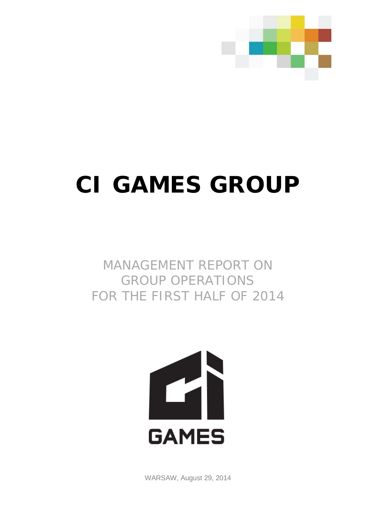

# **CI GAMES GROUP**

MANAGEMENT REPORT ON GROUP OPERATIONS FOR THE FIRST HALF OF 2014



WARSAW, August 29, 2014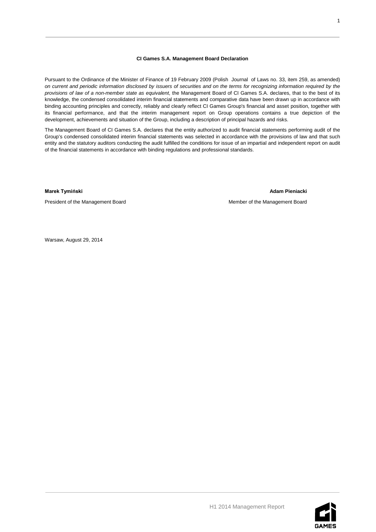#### **CI Games S.A. Management Board Declaration**

Pursuant to the Ordinance of the Minister of Finance of 19 February 2009 (Polish Journal of Laws no. 33, item 259, as amended) *on current and periodic information disclosed by issuers of securities and on the terms for recognizing information required by the provisions of law of a non-member state as equivalent*, the Management Board of CI Games S.A. declares, that to the best of its knowledge, the condensed consolidated interim financial statements and comparative data have been drawn up in accordance with binding accounting principles and correctly, reliably and clearly reflect CI Games Group's financial and asset position, together with its financial performance, and that the interim management report on Group operations contains a true depiction of the development, achievements and situation of the Group, including a description of principal hazards and risks.

The Management Board of CI Games S.A. declares that the entity authorized to audit financial statements performing audit of the Group's condensed consolidated interim financial statements was selected in accordance with the provisions of law and that such entity and the statutory auditors conducting the audit fulfilled the conditions for issue of an impartial and independent report on audit of the financial statements in accordance with binding regulations and professional standards.

**Marek Tymiński Adam Pieniacki** 

President of the Management Board **Member of the Management Board** Member of the Management Board

Warsaw, August 29, 2014

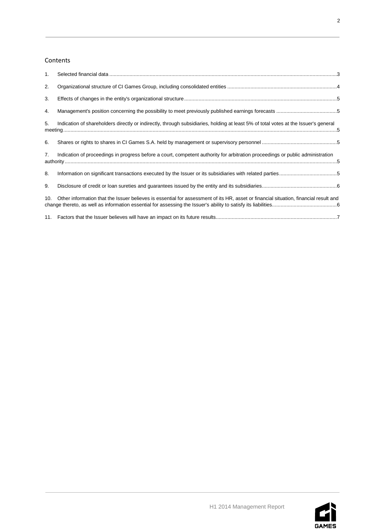# Contents

| 1.  |                                                                                                                                      |  |
|-----|--------------------------------------------------------------------------------------------------------------------------------------|--|
| 2.  |                                                                                                                                      |  |
| 3.  |                                                                                                                                      |  |
| 4.  |                                                                                                                                      |  |
| 5.  | Indication of shareholders directly or indirectly, through subsidiaries, holding at least 5% of total votes at the Issuer's general  |  |
| 6.  |                                                                                                                                      |  |
| 7.  | Indication of proceedings in progress before a court, competent authority for arbitration proceedings or public administration       |  |
| 8.  | Information on significant transactions executed by the Issuer or its subsidiaries with related parties5                             |  |
| 9.  |                                                                                                                                      |  |
| 10. | Other information that the Issuer believes is essential for assessment of its HR, asset or financial situation, financial result and |  |
|     |                                                                                                                                      |  |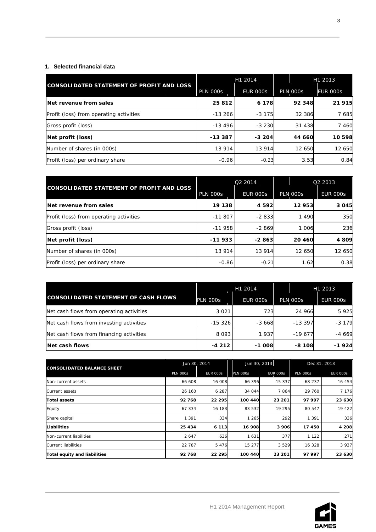# <span id="page-3-0"></span>**1. Selected financial data**

|                                           | H1 2014         |                 | H1 2013         |                 |
|-------------------------------------------|-----------------|-----------------|-----------------|-----------------|
| CONSOLIDATED STATEMENT OF PROFIT AND LOSS | <b>PLN 000s</b> | <b>EUR 000s</b> | <b>PLN 000s</b> | <b>EUR 000s</b> |
| Net revenue from sales                    | 25812           | 6 178           | 92 348          | 21 915          |
| Profit (loss) from operating activities   | $-13266$        | $-3,175$        | 32 386          | 7 685           |
| Gross profit (loss)                       | $-13496$        | $-3230$         | 31 438          | 7 4 6 0         |
| Net profit (loss)                         | $-13.387$       | $-3,204$        | 44 660          | 10 598          |
| Number of shares (in 000s)                | 13 914          | 13 914          | 12 650          | 12 650          |
| Profit (loss) per ordinary share          | $-0.96$         | $-0.23$         | 3.53            | 0.84            |

|                                                |                 | Q2 2014         | Q2 2013         |                 |
|------------------------------------------------|-----------------|-----------------|-----------------|-----------------|
| CONSOLIDATED STATEMENT OF PROFIT AND LOSS      | <b>PLN 000s</b> | <b>EUR 000s</b> | <b>PLN 000s</b> | <b>EUR 000s</b> |
| Net revenue from sales                         | 19 138          | 4 5 9 2 1       | 12953           | 3 0 4 5         |
| <b>Profit (loss) from operating activities</b> | $-11807$        | $-2833$         | 1490            | 350             |
| Gross profit (loss)                            | $-11958$        | $-2869$         | 1 0 0 6         | 236             |
| Net profit (loss)                              | $-11933$        | -2 863          | 20 460          | 4 809           |
| Number of shares (in 000s)                     | 13 914          | 13 914          | 12 650          | 12 650          |
| Profit (loss) per ordinary share               | $-0.86$         | $-0.21$         | 1.62            | 0.38            |

|                                             |           | H1 2014         |                 | H1 2013         |
|---------------------------------------------|-----------|-----------------|-----------------|-----------------|
| <b>CONSOLIDATED STATEMENT OF CASH FLOWS</b> | PLN 000s  | <b>EUR 000s</b> | <b>PLN 000s</b> | <b>EUR 000s</b> |
| Net cash flows from operating activities    | 3 0 2 1   | 723             | 24 966          | 5 9 2 5         |
| Net cash flows from investing activities    | $-15.326$ | $-3668$         | $-13.397$       | $-3179$         |
| Net cash flows from financing activities    | 8 0 9 3   | 1937            | $-19677$        | $-4669$         |
| Net cash flows                              | $-4212$   | $-1008$         | $-8108$         | $-1924$         |

| <b>CONSOLIDATED BALANCE SHEET</b> | Jun 30, 2014    |                 |                 | Jun 30, 2013    |                 | Dec 31, 2013    |  |
|-----------------------------------|-----------------|-----------------|-----------------|-----------------|-----------------|-----------------|--|
|                                   | <b>PLN 000s</b> | <b>EUR 000s</b> | <b>PLN 000s</b> | <b>EUR 000s</b> | <b>PLN 000s</b> | <b>EUR 000s</b> |  |
| Non-current assets                | 66 608          | 16 008          | 66 396          | 15 337          | 68 237          | 16 454          |  |
| Current assets                    | 26 160          | 6 2 8 7         | 34 044          | 7864            | 29 760          | 7 1 7 6         |  |
| <b>Total assets</b>               | 92768           | 22 295          | 100 440         | 23 201          | 97 997          | 23 630          |  |
| Equity                            | 67 334          | 16 183          | 83 532          | 19 295          | 80 547          | 19 422          |  |
| Share capital                     | 1 3 9 1         | 334             | 1 2 6 5         | 292             | 1 3 9 1         | 336             |  |
| Liabilities                       | 25 4 34         | 6 1 1 3         | 16 908          | 3906            | 17 450          | 4 2 0 8         |  |
| Non-current liabilities           | 2 647           | 636             | 1631            | 377             | 1 1 2 2         | 271             |  |
| Current liabilities               | 22 787          | 5 4 7 6         | 15 277          | 3529            | 16 328          | 3 9 3 7         |  |
| Total equity and liabilities      | 92768           | 22 295          | 100 440         | 23 201          | 97 997          | 23 630          |  |





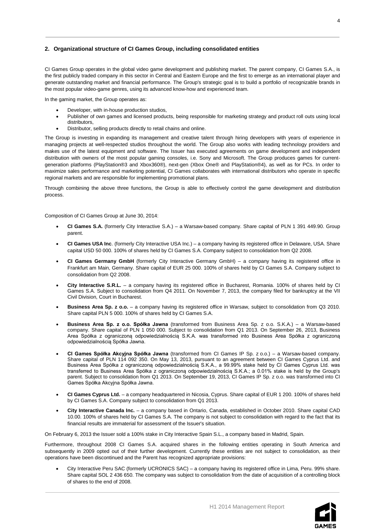# <span id="page-4-0"></span>**2. Organizational structure of CI Games Group, including consolidated entities**

CI Games Group operates in the global video game development and publishing market. The parent company, CI Games S.A., is the first publicly traded company in this sector in Central and Eastern Europe and the first to emerge as an international player and generate outstanding market and financial performance. The Group's strategic goal is to build a portfolio of recognizable brands in the most popular video-game genres, using its advanced know-how and experienced team.

In the gaming market, the Group operates as:

- Developer, with in-house production studios,
- Publisher of own games and licensed products, being responsible for marketing strategy and product roll outs using local distributors,
- Distributor, selling products directly to retail chains and online.

The Group is investing in expanding its management and creative talent through hiring developers with years of experience in managing projects at well-respected studios throughout the world. The Group also works with leading technology providers and makes use of the latest equipment and software. The Issuer has executed agreements on game development and independent distribution with owners of the most popular gaming consoles, i.e. Sony and Microsoft. The Group produces games for currentgeneration platforms (PlayStation®3 and Xbox360®), next-gen (Xbox One® and PlayStation®4), as well as for PCs. In order to maximize sales performance and marketing potential, CI Games collaborates with international distributors who operate in specific regional markets and are responsible for implementing promotional plans.

Through combining the above three functions, the Group is able to effectively control the game development and distribution process.

Composition of CI Games Group at June 30, 2014:

- **CI Games S.A.** (formerly City Interactive S.A.) a Warsaw-based company. Share capital of PLN 1 391 449.90. Group parent.
- **CI Games USA Inc**. (formerly City Interactive USA Inc.) a company having its registered office in Delaware, USA. Share capital USD 50 000. 100% of shares held by CI Games S.A. Company subject to consolidation from Q2 2008.
- **CI Games Germany GmbH** (formerly City Interactive Germany GmbH) a company having its registered office in Frankfurt am Main, Germany. Share capital of EUR 25 000. 100% of shares held by CI Games S.A. Company subject to consolidation from Q2 2008.
- **City Interactive S.R.L.** a company having its registered office in Bucharest, Romania. 100% of shares held by CI Games S.A. Subject to consolidation from Q4 2011. On November 7, 2013, the company filed for bankruptcy at the VII Civil Division, Court in Bucharest.
- **Business Area Sp. z o.o.**  a company having its registered office in Warsaw, subject to consolidation from Q3 2010. Share capital PLN 5 000. 100% of shares held by CI Games S.A.
- **Business Area Sp. z o.o. Spółka Jawna** (transformed from Business Area Sp. z o.o. S.K.A.) a Warsaw-based company. Share capital of PLN 1 050 000. Subject to consolidation from Q1 2013. On September 26, 2013, Business Area Spółka z ograniczoną odpowiedzialnością S.K.A. was transformed into Business Area Spółka z ograniczoną odpowiedzialnością Spółka Jawna.
- **CI Games Spółka Akcyjna Spółka Jawna** (transformed from CI Games IP Sp. z o.o.) a Warsaw-based company. Share capital of PLN 114 092 350. On May 13, 2013, pursuant to an agreement between CI Games Cyprus Ltd. and Business Area Spółka z ograniczoną odpowiedzialnością S.K.A., a 99.99% stake held by CI Games Cyprus Ltd. was transferred to Business Area Spółka z ograniczoną odpowiedzialnością S.K.A.; a 0.01% stake is held by the Group's parent. Subject to consolidation from Q1 2013. On September 19, 2013, CI Games IP Sp. z o.o. was transformed into CI Games Spółka Akcyjna Spółka Jawna.
- **CI Games Cyprus Ltd.** a company headquartered in Nicosia, Cyprus. Share capital of EUR 1 200. 100% of shares held by CI Games S.A. Company subject to consolidation from Q1 2013.
- **City Interactive Canada Inc.**  a company based in Ontario, Canada, established in October 2010. Share capital CAD 10.00. 100% of shares held by CI Games S.A. The company is not subject to consolidation with regard to the fact that its financial results are immaterial for assessment of the Issuer's situation.

On February 6, 2013 the Issuer sold a 100% stake in City Interactive Spain S.L., a company based in Madrid, Spain.

Furthermore, throughout 2008 CI Games S.A. acquired shares in the following entities operating in South America and subsequently in 2009 opted out of their further development. Currently these entities are not subject to consolidation, as their operations have been discontinued and the Parent has recognized appropriate provisions:

• City Interactive Peru SAC (formerly UCRONICS SAC) – a company having its registered office in Lima, Peru. 99% share. Share capital SOL 2 436 650. The company was subject to consolidation from the date of acquisition of a controlling block of shares to the end of 2008.



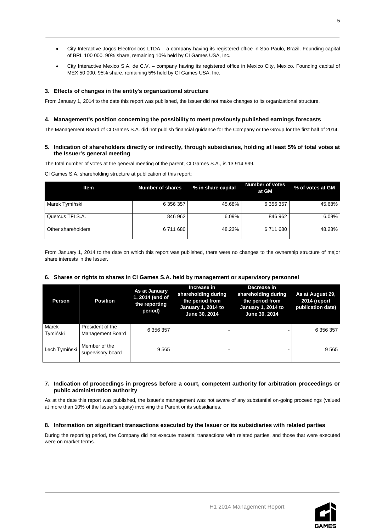- City Interactive Jogos Electronicos LTDA a company having its registered office in Sao Paulo, Brazil. Founding capital of BRL 100 000. 90% share, remaining 10% held by CI Games USA, Inc.
- City Interactive Mexico S.A. de C.V. company having its registered office in Mexico City, Mexico. Founding capital of MEX 50 000. 95% share, remaining 5% held by CI Games USA, Inc.

# <span id="page-5-0"></span>**3. Effects of changes in the entity's organizational structure**

From January 1, 2014 to the date this report was published, the Issuer did not make changes to its organizational structure.

# <span id="page-5-1"></span>**4. Management's position concerning the possibility to meet previously published earnings forecasts**

<span id="page-5-2"></span>The Management Board of CI Games S.A. did not publish financial guidance for the Company or the Group for the first half of 2014.

# **5. Indication of shareholders directly or indirectly, through subsidiaries, holding at least 5% of total votes at the Issuer's general meeting**

The total number of votes at the general meeting of the parent, CI Games S.A., is 13 914 999.

CI Games S.A. shareholding structure at publication of this report:

| <b>Item</b>        | <b>Number of shares</b> | % in share capital | <b>Number of votes</b><br>at GM | % of votes at GM |
|--------------------|-------------------------|--------------------|---------------------------------|------------------|
| Marek Tymiński     | 6 356 357               | 45.68%             | 6 356 357                       | 45.68%           |
| Quercus TFI S.A.   | 846 962                 | 6.09%              | 846 962                         | 6.09%            |
| Other shareholders | 6711680                 | 48.23%             | 6711680                         | 48.23%           |

From January 1, 2014 to the date on which this report was published, there were no changes to the ownership structure of major share interests in the Issuer.

### <span id="page-5-3"></span>**6. Shares or rights to shares in CI Games S.A. held by management or supervisory personnel**

| Person            | <b>Position</b>                      | As at January<br>1, 2014 (end of<br>the reporting<br>period) | Increase in<br>shareholding during<br>the period from<br><b>January 1, 2014 to</b><br>June 30, 2014 | Decrease in<br>shareholding during<br>the period from<br>January 1, 2014 to<br>June 30, 2014 | As at August 29,<br>2014 (report<br>publication date) |
|-------------------|--------------------------------------|--------------------------------------------------------------|-----------------------------------------------------------------------------------------------------|----------------------------------------------------------------------------------------------|-------------------------------------------------------|
| Marek<br>Tymiński | President of the<br>Management Board | 6 356 357                                                    |                                                                                                     |                                                                                              | 6 356 357                                             |
| Lech Tymiński     | Member of the<br>supervisory board   | 9565                                                         |                                                                                                     |                                                                                              | 9565                                                  |

# <span id="page-5-4"></span>**7. Indication of proceedings in progress before a court, competent authority for arbitration proceedings or public administration authority**

As at the date this report was published, the Issuer's management was not aware of any substantial on-going proceedings (valued at more than 10% of the Issuer's equity) involving the Parent or its subsidiaries.

### <span id="page-5-5"></span>**8. Information on significant transactions executed by the Issuer or its subsidiaries with related parties**

During the reporting period, the Company did not execute material transactions with related parties, and those that were executed were on market terms.

5

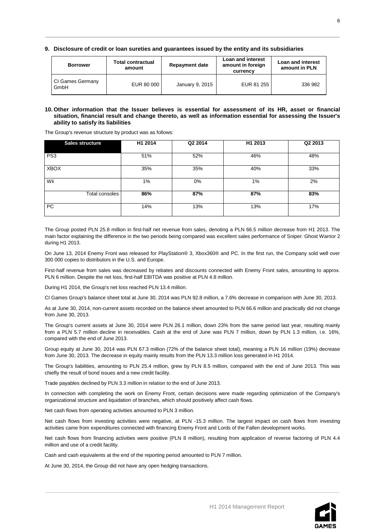<span id="page-6-0"></span>**9. Disclosure of credit or loan sureties and guarantees issued by the entity and its subsidiaries**

| <b>Borrower</b>          | <b>Total contractual</b><br>amount | <b>Repayment date</b> | Loan and interest<br>amount in foreign<br>currency | <b>Loan and interest</b><br>amount in PLN |
|--------------------------|------------------------------------|-----------------------|----------------------------------------------------|-------------------------------------------|
| CI Games Germany<br>GmbH | EUR 80 000                         | January 9, 2015       | EUR 81 255                                         | 336 982                                   |

#### <span id="page-6-1"></span>**10. Other information that the Issuer believes is essential for assessment of its HR, asset or financial situation, financial result and change thereto, as well as information essential for assessing the Issuer's ability to satisfy its liabilities**

The Group's revenue structure by product was as follows:

| <b>Sales structure</b> | H1 2014 | Q2 2014 | H1 2013 | Q2 2013 |
|------------------------|---------|---------|---------|---------|
| PS <sub>3</sub>        | 51%     | 52%     | 46%     | 48%     |
| <b>XBOX</b>            | 35%     | 35%     | 40%     | 33%     |
| Wii                    | 1%      | 0%      | 1%      | 2%      |
| Total consoles         | 86%     | 87%     | 87%     | 83%     |
| <b>PC</b>              | 14%     | 13%     | 13%     | 17%     |

The Group posted PLN 25.8 million in first-half net revenue from sales, denoting a PLN 66.5 million decrease from H1 2013. The main factor explaining the difference in the two periods being compared was excellent sales performance of Sniper: Ghost Warrior 2 during H1 2013.

On June 13, 2014 Enemy Front was released for PlayStation® 3, Xbox360® and PC. In the first run, the Company sold well over 300 000 copies to distributors in the U.S. and Europe.

First-half revenue from sales was decreased by rebates and discounts connected with Enemy Front sales, amounting to approx. PLN 6 million. Despite the net loss, first-half EBITDA was positive at PLN 4.8 million.

During H1 2014, the Group's net loss reached PLN 13.4 million.

CI Games Group's balance sheet total at June 30, 2014 was PLN 92.8 million, a 7.6% decrease in comparison with June 30, 2013.

As at June 30, 2014, non-current assets recorded on the balance sheet amounted to PLN 66.6 million and practically did not change from June 30, 2013.

The Group's current assets at June 30, 2014 were PLN 26.1 million, down 23% from the same period last year, resulting mainly from a PLN 5.7 million decline in receivables. Cash at the end of June was PLN 7 million, down by PLN 1.3 million, i.e. 16%, compared with the end of June 2013.

Group equity at June 30, 2014 was PLN 67.3 million (72% of the balance sheet total), meaning a PLN 16 million (19%) decrease from June 30, 2013. The decrease in equity mainly results from the PLN 13.3 million loss generated in H1 2014.

The Group's liabilities, amounting to PLN 25.4 million, grew by PLN 8.5 million, compared with the end of June 2013. This was chiefly the result of bond issues and a new credit facility.

Trade payables declined by PLN 3.3 million in relation to the end of June 2013.

In connection with completing the work on Enemy Front, certain decisions were made regarding optimization of the Company's organizational structure and liquidation of branches, which should positively affect cash flows.

Net cash flows from operating activities amounted to PLN 3 million.

Net cash flows from investing activities were negative, at PLN -15.3 million. The largest impact on cash flows from investing activities came from expenditures connected with financing Enemy Front and Lords of the Fallen development works.

Net cash flows from financing activities were positive (PLN 8 million), resulting from application of reverse factoring of PLN 4.4 million and use of a credit facility.

Cash and cash equivalents at the end of the reporting period amounted to PLN 7 million.

At June 30, 2014, the Group did not have any open hedging transactions.



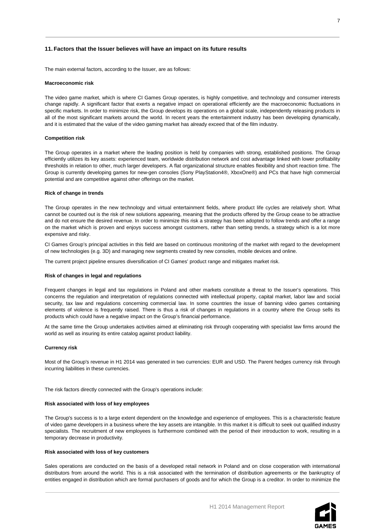#### <span id="page-7-0"></span>**11. Factors that the Issuer believes will have an impact on its future results**

The main external factors, according to the Issuer, are as follows:

#### **Macroeconomic risk**

The video game market, which is where CI Games Group operates, is highly competitive, and technology and consumer interests change rapidly. A significant factor that exerts a negative impact on operational efficiently are the macroeconomic fluctuations in specific markets. In order to minimize risk, the Group develops its operations on a global scale, independently releasing products in all of the most significant markets around the world. In recent years the entertainment industry has been developing dynamically, and it is estimated that the value of the video gaming market has already exceed that of the film industry.

#### **Competition risk**

The Group operates in a market where the leading position is held by companies with strong, established positions. The Group efficiently utilizes its key assets: experienced team, worldwide distribution network and cost advantage linked with lower profitability thresholds in relation to other, much larger developers. A flat organizational structure enables flexibility and short reaction time. The Group is currently developing games for new-gen consoles (Sony PlayStation4®, XboxOne®) and PCs that have high commercial potential and are competitive against other offerings on the market.

#### **Rick of change in trends**

The Group operates in the new technology and virtual entertainment fields, where product life cycles are relatively short. What cannot be counted out is the risk of new solutions appearing, meaning that the products offered by the Group cease to be attractive and do not ensure the desired revenue. In order to minimize this risk a strategy has been adopted to follow trends and offer a range on the market which is proven and enjoys success amongst customers, rather than setting trends, a strategy which is a lot more expensive and risky.

CI Games Group's principal activities in this field are based on continuous monitoring of the market with regard to the development of new technologies (e.g. 3D) and managing new segments created by new consoles, mobile devices and online.

The current project pipeline ensures diversification of CI Games' product range and mitigates market risk.

#### **Risk of changes in legal and regulations**

Frequent changes in legal and tax regulations in Poland and other markets constitute a threat to the Issuer's operations. This concerns the regulation and interpretation of regulations connected with intellectual property, capital market, labor law and social security, tax law and regulations concerning commercial law. In some countries the issue of banning video games containing elements of violence is frequently raised. There is thus a risk of changes in regulations in a country where the Group sells its products which could have a negative impact on the Group's financial performance.

At the same time the Group undertakes activities aimed at eliminating risk through cooperating with specialist law firms around the world as well as insuring its entire catalog against product liability.

#### **Currency risk**

Most of the Group's revenue in H1 2014 was generated in two currencies: EUR and USD. The Parent hedges currency risk through incurring liabilities in these currencies.

The risk factors directly connected with the Group's operations include:

#### **Risk associated with loss of key employees**

The Group's success is to a large extent dependent on the knowledge and experience of employees. This is a characteristic feature of video game developers in a business where the key assets are intangible. In this market it is difficult to seek out qualified industry specialists. The recruitment of new employees is furthermore combined with the period of their introduction to work, resulting in a temporary decrease in productivity.

#### **Risk associated with loss of key customers**

Sales operations are conducted on the basis of a developed retail network in Poland and on close cooperation with international distributors from around the world. This is a risk associated with the termination of distribution agreements or the bankruptcy of entities engaged in distribution which are formal purchasers of goods and for which the Group is a creditor. In order to minimize the

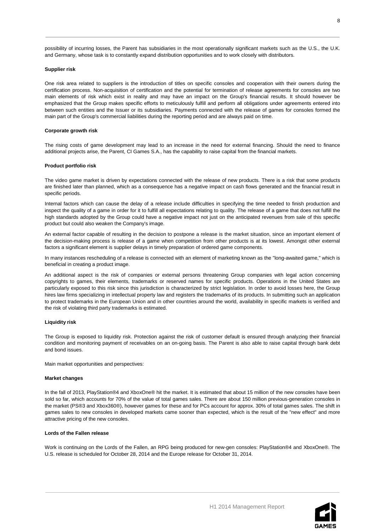#### **Supplier risk**

One risk area related to suppliers is the introduction of titles on specific consoles and cooperation with their owners during the certification process. Non-acquisition of certification and the potential for termination of release agreements for consoles are two main elements of risk which exist in reality and may have an impact on the Group's financial results. It should however be emphasized that the Group makes specific efforts to meticulously fulfill and perform all obligations under agreements entered into between such entities and the Issuer or its subsidiaries. Payments connected with the release of games for consoles formed the main part of the Group's commercial liabilities during the reporting period and are always paid on time.

#### **Corporate growth risk**

The rising costs of game development may lead to an increase in the need for external financing. Should the need to finance additional projects arise, the Parent, CI Games S.A., has the capability to raise capital from the financial markets.

#### **Product portfolio risk**

The video game market is driven by expectations connected with the release of new products. There is a risk that some products are finished later than planned, which as a consequence has a negative impact on cash flows generated and the financial result in specific periods.

Internal factors which can cause the delay of a release include difficulties in specifying the time needed to finish production and inspect the quality of a game in order for it to fulfill all expectations relating to quality. The release of a game that does not fulfill the high standards adopted by the Group could have a negative impact not just on the anticipated revenues from sale of this specific product but could also weaken the Company's image.

An external factor capable of resulting in the decision to postpone a release is the market situation, since an important element of the decision-making process is release of a game when competition from other products is at its lowest. Amongst other external factors a significant element is supplier delays in timely preparation of ordered game components.

In many instances rescheduling of a release is connected with an element of marketing known as the "long-awaited game," which is beneficial in creating a product image.

An additional aspect is the risk of companies or external persons threatening Group companies with legal action concerning copyrights to games, their elements, trademarks or reserved names for specific products. Operations in the United States are particularly exposed to this risk since this jurisdiction is characterized by strict legislation. In order to avoid losses here, the Group hires law firms specializing in intellectual property law and registers the trademarks of its products. In submitting such an application to protect trademarks in the European Union and in other countries around the world, availability in specific markets is verified and the risk of violating third party trademarks is estimated.

#### **Liquidity risk**

The Group is exposed to liquidity risk. Protection against the risk of customer default is ensured through analyzing their financial condition and monitoring payment of receivables on an on-going basis. The Parent is also able to raise capital through bank debt and bond issues.

Main market opportunities and perspectives:

#### **Market changes**

In the fall of 2013, PlayStation®4 and XboxOne® hit the market. It is estimated that about 15 million of the new consoles have been sold so far, which accounts for 70% of the value of total games sales. There are about 150 million previous-generation consoles in the market (PS®3 and Xbox360®), however games for these and for PCs account for approx. 30% of total games sales. The shift in games sales to new consoles in developed markets came sooner than expected, which is the result of the "new effect" and more attractive pricing of the new consoles.

### **Lords of the Fallen release**

Work is continuing on the Lords of the Fallen, an RPG being produced for new-gen consoles: PlayStation®4 and XboxOne®. The U.S. release is scheduled for October 28, 2014 and the Europe release for October 31, 2014.